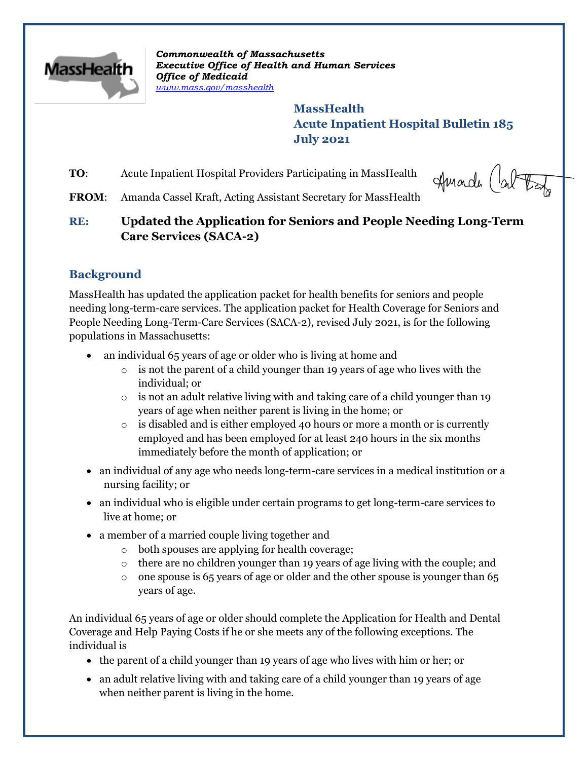

*Commonwealth of Massachusetts Executive Office of Health and Human Services Office of Medicaid [www.mass.gov/masshealth](http://www.mass.gov/masshealth)*

> **MassHealth Acute Inpatient Hospital Bulletin 185 July 2021**

**TO:** Acute Inpatient Hospital Providers Participating in MassHealth

Amade Cal tay

**FROM**: Amanda Cassel Kraft, Acting Assistant Secretary for MassHealth

**RE: Updated the Application for Seniors and People Needing Long-Term Care Services (SACA-2)**

# **Background**

MassHealth has updated the application packet for health benefits for seniors and people needing long-term-care services. The application packet for Health Coverage for Seniors and People Needing Long-Term-Care Services (SACA-2), revised July 2021, is for the following populations in Massachusetts:

- an individual 65 years of age or older who is living at home and
	- o is not the parent of a child younger than 19 years of age who lives with the individual; or
	- $\circ$  is not an adult relative living with and taking care of a child younger than 19 years of age when neither parent is living in the home; or
	- $\circ$  is disabled and is either employed 40 hours or more a month or is currently employed and has been employed for at least 240 hours in the six months immediately before the month of application; or
- an individual of any age who needs long-term-care services in a medical institution or a nursing facility; or
- an individual who is eligible under certain programs to get long-term-care services to live at home; or
- a member of a married couple living together and
	- o both spouses are applying for health coverage;
	- $\circ$  there are no children younger than 19 years of age living with the couple; and
	- $\circ$  one spouse is 65 years of age or older and the other spouse is younger than 65 years of age.

An individual 65 years of age or older should complete the Application for Health and Dental Coverage and Help Paying Costs if he or she meets any of the following exceptions. The individual is

- the parent of a child younger than 19 years of age who lives with him or her; or
- an adult relative living with and taking care of a child younger than 19 years of age when neither parent is living in the home.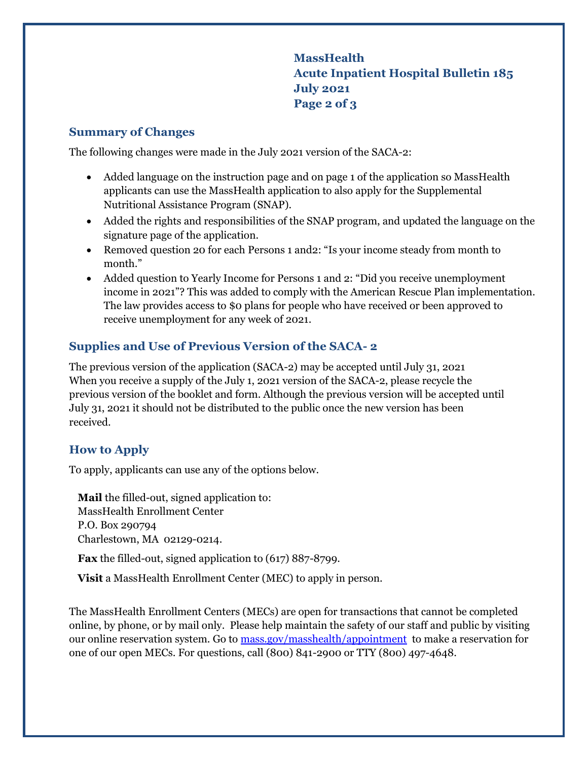**MassHealth Acute Inpatient Hospital Bulletin 185 July 2021 Page 2 of 3**

### **Summary of Changes**

The following changes were made in the July 2021 version of the SACA-2:

- Added language on the instruction page and on page 1 of the application so MassHealth applicants can use the MassHealth application to also apply for the Supplemental Nutritional Assistance Program (SNAP).
- Added the rights and responsibilities of the SNAP program, and updated the language on the signature page of the application.
- Removed question 20 for each Persons 1 and2: "Is your income steady from month to month."
- Added question to Yearly Income for Persons 1 and 2: "Did you receive unemployment income in 2021"? This was added to comply with the American Rescue Plan implementation. The law provides access to \$0 plans for people who have received or been approved to receive unemployment for any week of 2021.

## **Supplies and Use of Previous Version of the SACA- 2**

The previous version of the application (SACA-2) may be accepted until July 31, 2021 When you receive a supply of the July 1, 2021 version of the SACA-2, please recycle the previous version of the booklet and form. Although the previous version will be accepted until July 31, 2021 it should not be distributed to the public once the new version has been received.

## **How to Apply**

To apply, applicants can use any of the options below.

**Mail** the filled-out, signed application to: MassHealth Enrollment Center P.O. Box 290794 Charlestown, MA 02129-0214.

**Fax** the filled-out, signed application to (617) 887-8799.

**Visit** a [MassHealth Enrollment Center \(MEC\)](https://www.mass.gov/service-details/masshealth-enrollment-centers-mecs) to apply in person.

The MassHealth Enrollment Centers (MECs) are open for transactions that cannot be completed online, by phone, or by mail only. Please help maintain the safety of our staff and public by visiting our online reservation system. Go to [mass.gov/masshealth/appointment](https://www.mass.gov/masshealth/appointment) to make a reservation for one of our open MECs. For questions, call (800) 841-2900 or TTY (800) 497-4648.